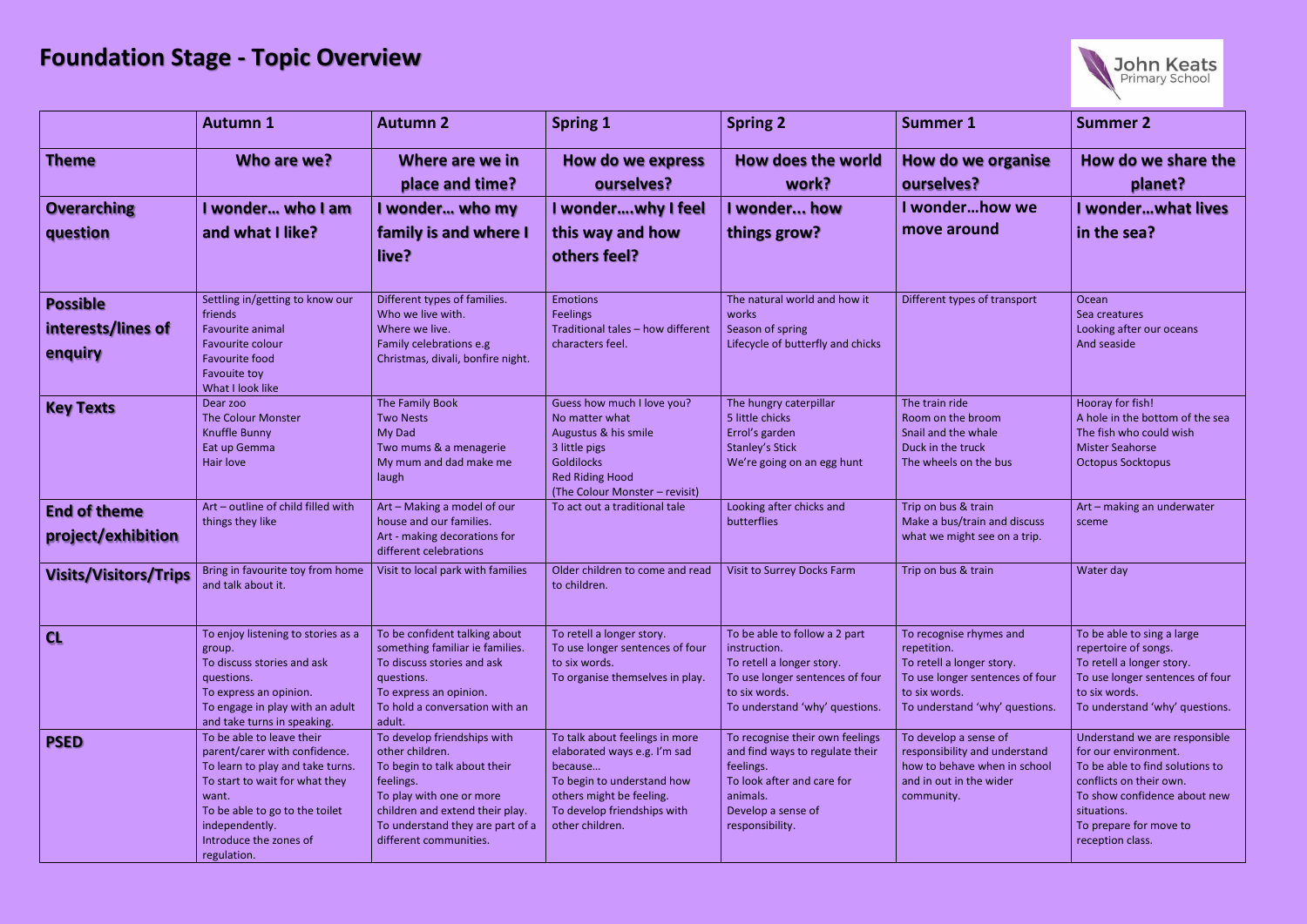## **Foundation Stage - Topic Overview**

|                                                  | <b>Autumn 1</b>                                                                                                                                                                                                                        | <b>Autumn 2</b>                                                                                                                                                                                                          | <b>Spring 1</b>                                                                                                                                                                       | <b>Spring 2</b>                                                                                                                                                    | <b>Summer 1</b>                                                                                                                                           | <b>Summer 2</b>                                                                                                                                       |
|--------------------------------------------------|----------------------------------------------------------------------------------------------------------------------------------------------------------------------------------------------------------------------------------------|--------------------------------------------------------------------------------------------------------------------------------------------------------------------------------------------------------------------------|---------------------------------------------------------------------------------------------------------------------------------------------------------------------------------------|--------------------------------------------------------------------------------------------------------------------------------------------------------------------|-----------------------------------------------------------------------------------------------------------------------------------------------------------|-------------------------------------------------------------------------------------------------------------------------------------------------------|
| <b>Theme</b>                                     | Who are we?                                                                                                                                                                                                                            | Where are we in<br>place and time?                                                                                                                                                                                       | How do we express<br>ourselves?                                                                                                                                                       | How does the world<br>work?                                                                                                                                        | How do we organise<br>ourselves?                                                                                                                          | How do w<br>pla                                                                                                                                       |
| <b>Overarching</b><br>question                   | I wonder who I am<br>and what I like?                                                                                                                                                                                                  | I wonder who my<br>family is and where I<br>live?                                                                                                                                                                        | I wonderwhy I feel<br>this way and how<br>others feel?                                                                                                                                | I wonder how<br>things grow?                                                                                                                                       | I wonderhow we<br>move around                                                                                                                             | I wonder<br>in the sea                                                                                                                                |
| <b>Possible</b><br>interests/lines of<br>enquiry | Settling in/getting to know our<br>friends<br>Favourite animal<br>Favourite colour<br><b>Favourite food</b><br>Favouite toy<br>What I look like                                                                                        | Different types of families.<br>Who we live with.<br>Where we live.<br>Family celebrations e.g<br>Christmas, divali, bonfire night.                                                                                      | <b>Emotions</b><br><b>Feelings</b><br>Traditional tales - how different<br>characters feel.                                                                                           | The natural world and how it<br>works<br>Season of spring<br>Lifecycle of butterfly and chicks                                                                     | Different types of transport                                                                                                                              | Ocean<br>Sea creatures<br>Looking after o<br>And seaside                                                                                              |
| <b>Key Texts</b>                                 | Dear zoo<br><b>The Colour Monster</b><br><b>Knuffle Bunny</b><br>Eat up Gemma<br>Hair love                                                                                                                                             | The Family Book<br><b>Two Nests</b><br>My Dad<br>Two mums & a menagerie<br>My mum and dad make me<br>laugh                                                                                                               | Guess how much I love you?<br>No matter what<br>Augustus & his smile<br>3 little pigs<br><b>Goldilocks</b><br><b>Red Riding Hood</b><br>(The Colour Monster - revisit)                | The hungry caterpillar<br>5 little chicks<br>Errol's garden<br><b>Stanley's Stick</b><br>We're going on an egg hunt                                                | The train ride<br>Room on the broom<br>Snail and the whale<br>Duck in the truck<br>The wheels on the bus                                                  | Hooray for fish<br>A hole in the bo<br>The fish who co<br><b>Mister Seahors</b><br><b>Octopus Sockto</b>                                              |
| <b>End of theme</b><br>project/exhibition        | Art - outline of child filled with<br>things they like                                                                                                                                                                                 | Art - Making a model of our<br>house and our families.<br>Art - making decorations for<br>different celebrations                                                                                                         | To act out a traditional tale                                                                                                                                                         | Looking after chicks and<br>butterflies                                                                                                                            | Trip on bus & train<br>Make a bus/train and discuss<br>what we might see on a trip.                                                                       | Art - making a<br>sceme                                                                                                                               |
| <b>Visits/Visitors/Trips</b>                     | Bring in favourite toy from home<br>and talk about it.                                                                                                                                                                                 | Visit to local park with families                                                                                                                                                                                        | Older children to come and read<br>to children.                                                                                                                                       | Visit to Surrey Docks Farm                                                                                                                                         | Trip on bus & train                                                                                                                                       | Water day                                                                                                                                             |
| CL                                               | To enjoy listening to stories as a<br>group.<br>To discuss stories and ask<br>questions.<br>To express an opinion.<br>To engage in play with an adult<br>and take turns in speaking.                                                   | To be confident talking about<br>something familiar ie families.<br>To discuss stories and ask<br>questions.<br>To express an opinion.<br>To hold a conversation with an<br>adult.                                       | To retell a longer story.<br>To use longer sentences of four<br>to six words.<br>To organise themselves in play.                                                                      | To be able to follow a 2 part<br>instruction.<br>To retell a longer story.<br>To use longer sentences of four<br>to six words.<br>To understand 'why' questions.   | To recognise rhymes and<br>repetition.<br>To retell a longer story.<br>To use longer sentences of four<br>to six words.<br>To understand 'why' questions. | To be able to si<br>repertoire of so<br>To retell a long<br>To use longer s<br>to six words.<br>To understand                                         |
| <b>PSED</b>                                      | To be able to leave their<br>parent/carer with confidence.<br>To learn to play and take turns.<br>To start to wait for what they<br>want.<br>To be able to go to the toilet<br>independently.<br>Introduce the zones of<br>regulation. | To develop friendships with<br>other children.<br>To begin to talk about their<br>feelings.<br>To play with one or more<br>children and extend their play.<br>To understand they are part of a<br>different communities. | To talk about feelings in more<br>elaborated ways e.g. I'm sad<br>because<br>To begin to understand how<br>others might be feeling.<br>To develop friendships with<br>other children. | To recognise their own feelings<br>and find ways to regulate their<br>feelings.<br>To look after and care for<br>animals.<br>Develop a sense of<br>responsibility. | To develop a sense of<br>responsibility and understand<br>how to behave when in school<br>and in out in the wider<br>community.                           | <b>Understand we</b><br>for our environ<br>To be able to fi<br>conflicts on the<br>To show confid<br>situations.<br>To prepare for<br>reception class |



| <b>Summer 1</b>                                                                                                                                           | <b>Summer 2</b>                                                                                                                                                                                                  |  |  |  |
|-----------------------------------------------------------------------------------------------------------------------------------------------------------|------------------------------------------------------------------------------------------------------------------------------------------------------------------------------------------------------------------|--|--|--|
| How do we organise<br>ourselves?                                                                                                                          | How do we share the<br>planet?                                                                                                                                                                                   |  |  |  |
| I wonderhow we<br>move around                                                                                                                             | <b>I</b> wonderwhat lives<br>in the sea?                                                                                                                                                                         |  |  |  |
| Different types of transport                                                                                                                              | Ocean<br>Sea creatures<br>Looking after our oceans<br>And seaside                                                                                                                                                |  |  |  |
| The train ride<br>Room on the broom<br>Snail and the whale<br>Duck in the truck<br>The wheels on the bus                                                  | Hooray for fish!<br>A hole in the bottom of the sea<br>The fish who could wish<br><b>Mister Seahorse</b><br><b>Octopus Socktopus</b>                                                                             |  |  |  |
| Trip on bus & train<br>Make a bus/train and discuss<br>what we might see on a trip.                                                                       | Art - making an underwater<br>sceme                                                                                                                                                                              |  |  |  |
| Trip on bus & train                                                                                                                                       | Water day                                                                                                                                                                                                        |  |  |  |
| To recognise rhymes and<br>repetition.<br>To retell a longer story.<br>To use longer sentences of four<br>to six words.<br>To understand 'why' questions. | To be able to sing a large<br>repertoire of songs.<br>To retell a longer story.<br>To use longer sentences of four<br>to six words.<br>To understand 'why' questions.                                            |  |  |  |
| To develop a sense of<br>responsibility and understand<br>how to behave when in school<br>and in out in the wider<br>community.                           | Understand we are responsible<br>for our environment.<br>To be able to find solutions to<br>conflicts on their own.<br>To show confidence about new<br>situations.<br>To prepare for move to<br>reception class. |  |  |  |